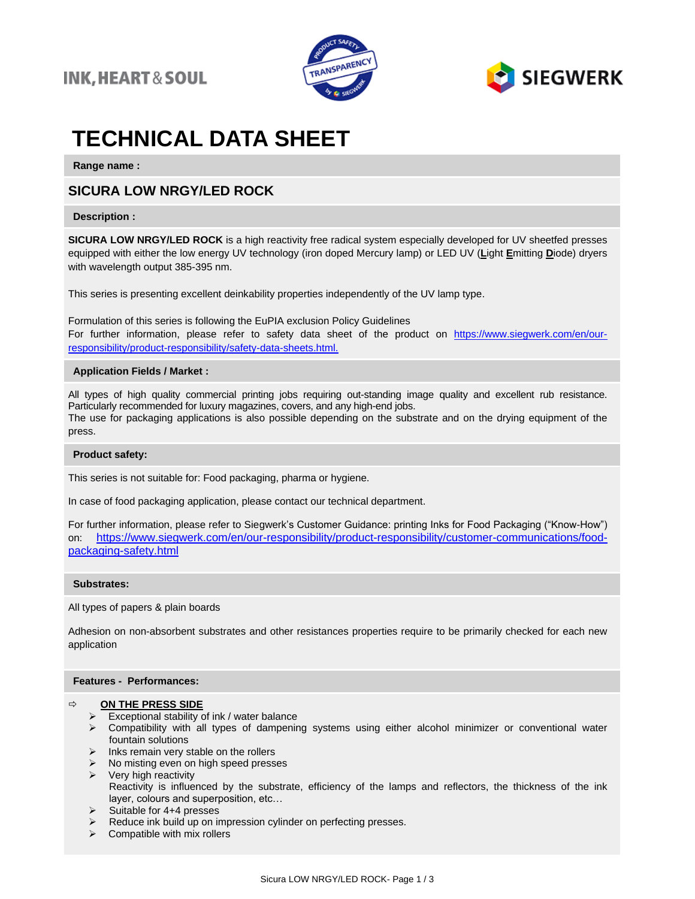



# **TECHNICAL DATA SHEET**

**Range name :**

### **SICURA LOW NRGY/LED ROCK**

### **Description :**

**SICURA LOW NRGY/LED ROCK** is a high reactivity free radical system especially developed for UV sheetfed presses equipped with either the low energy UV technology (iron doped Mercury lamp) or LED UV (**L**ight **E**mitting **D**iode) dryers with wavelength output 385-395 nm.

This series is presenting excellent deinkability properties independently of the UV lamp type.

Formulation of this series is following the EuPIA exclusion Policy Guidelines For further information, please refer to safety data sheet of the product on https://www.siegwerk.com/en/ourresponsibility/product-responsibility/safety-data-sheets.html.

### **Application Fields / Market :**

All types of high quality commercial printing jobs requiring out-standing image quality and excellent rub resistance. Particularly recommended for luxury magazines, covers, and any high-end jobs. The use for packaging applications is also possible depending on the substrate and on the drying equipment of the press.

### **Product safety:**

This series is not suitable for: Food packaging, pharma or hygiene.

In case of food packaging application, please contact our technical department.

For further information, please refer to Siegwerk's Customer Guidance: printing Inks for Food Packaging ("Know-How") on: [https://www.siegwerk.com/en/our-responsibility/product-responsibility/customer-communications/food](https://www.siegwerk.com/en/our-responsibility/product-responsibility/customer-communications/food-packaging-safety.html)[packaging-safety.html](https://www.siegwerk.com/en/our-responsibility/product-responsibility/customer-communications/food-packaging-safety.html)

### **Substrates:**

All types of papers & plain boards

Adhesion on non-absorbent substrates and other resistances properties require to be primarily checked for each new application

### **Features - Performances:**

### **ON THE PRESS SIDE**

- $\triangleright$  Exceptional stability of ink / water balance
- ➢ Compatibility with all types of dampening systems using either alcohol minimizer or conventional water fountain solutions
- $\triangleright$  Inks remain very stable on the rollers
- $\triangleright$  No misting even on high speed presses
- $\triangleright$  Very high reactivity
	- Reactivity is influenced by the substrate, efficiency of the lamps and reflectors, the thickness of the ink layer, colours and superposition, etc…
- ➢ Suitable for 4+4 presses
- ➢ Reduce ink build up on impression cylinder on perfecting presses.
- $\triangleright$  Compatible with mix rollers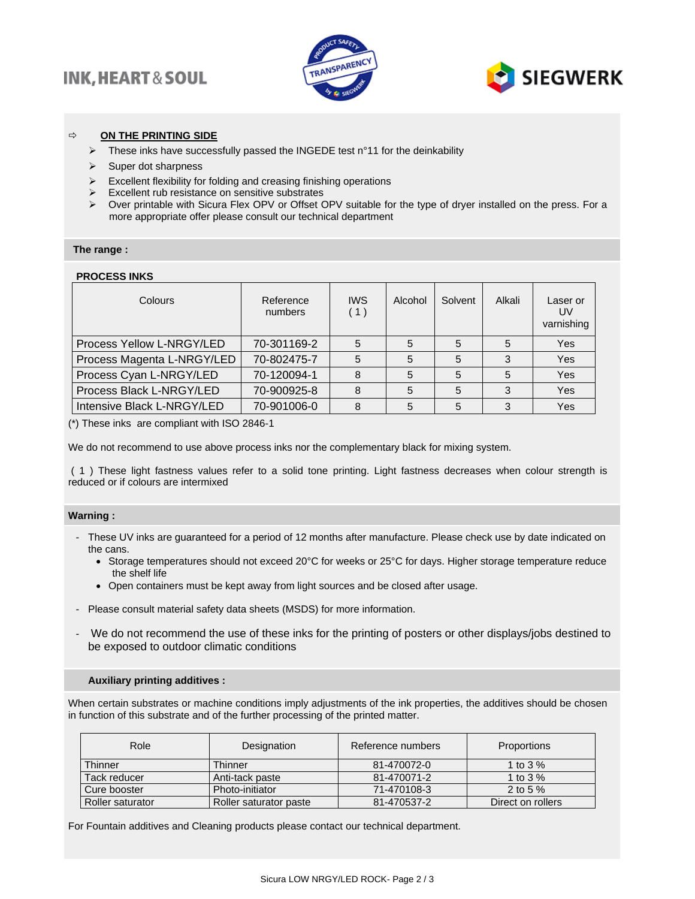## **INK, HEART & SOUL**





### **ON THE PRINTING SIDE**

- ➢ These inks have successfully passed the INGEDE test n°11 for the deinkability
- ➢ Super dot sharpness
- ➢ Excellent flexibility for folding and creasing finishing operations
- ➢ Excellent rub resistance on sensitive substrates
- ➢ Over printable with Sicura Flex OPV or Offset OPV suitable for the type of dryer installed on the press. For a more appropriate offer please consult our technical department

### **The range :**

### **PROCESS INKS**

| Colours                    | Reference<br>numbers | <b>IWS</b><br>(1) | Alcohol | Solvent | Alkali | Laser or<br>UV<br>varnishing |
|----------------------------|----------------------|-------------------|---------|---------|--------|------------------------------|
| Process Yellow L-NRGY/LED  | 70-301169-2          | 5                 |         | 5       | 5      | Yes                          |
| Process Magenta L-NRGY/LED | 70-802475-7          | 5                 | 5       | 5       | 3      | Yes                          |
| Process Cyan L-NRGY/LED    | 70-120094-1          | 8                 | 5       | 5       | 5      | Yes                          |
| Process Black L-NRGY/LED   | 70-900925-8          | 8                 | 5       | 5       | 3      | Yes                          |
| Intensive Black L-NRGY/LED | 70-901006-0          | 8                 | 5       | 5       | 3      | Yes                          |

(\*) These inks are compliant with ISO 2846-1

We do not recommend to use above process inks nor the complementary black for mixing system.

( 1 ) These light fastness values refer to a solid tone printing. Light fastness decreases when colour strength is reduced or if colours are intermixed

### **Warning :**

- These UV inks are guaranteed for a period of 12 months after manufacture. Please check use by date indicated on the cans.
	- Storage temperatures should not exceed 20°C for weeks or 25°C for days. Higher storage temperature reduce the shelf life
	- Open containers must be kept away from light sources and be closed after usage.
- Please consult material safety data sheets (MSDS) for more information.
- We do not recommend the use of these inks for the printing of posters or other displays/jobs destined to be exposed to outdoor climatic conditions

#### **Auxiliary printing additives :**

When certain substrates or machine conditions imply adjustments of the ink properties, the additives should be chosen in function of this substrate and of the further processing of the printed matter.

| Role             | Designation            | Reference numbers | Proportions       |  |
|------------------|------------------------|-------------------|-------------------|--|
| Thinner          | Thinner                | 81-470072-0       | 1 to 3 $%$        |  |
| Tack reducer     | Anti-tack paste        | 81-470071-2       | 1 to 3 $%$        |  |
| Cure booster     | Photo-initiator        | 71-470108-3       | 2 to 5 $%$        |  |
| Roller saturator | Roller saturator paste |                   | Direct on rollers |  |

For Fountain additives and Cleaning products please contact our technical department.